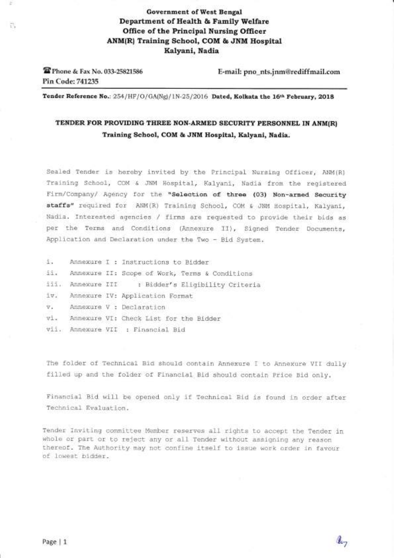# Government of West Bengal Department of Health & Family Welfare Office of the Principal Nursing Officer ANM(R) Training School, COM & JNM Hospital Kalyani, Nadia

**EPhone & Fax No. 033-25821586** Pin Code: 741235

il,

E-mail: pno\_nts.jnm@rediffmail.com

Tender Reference No.: 254/HF/O/GA(Ng)/1N-25/2016 Dated, Kolkata the 16th February, 2018

# TENDER FOR PROVIDING THREE NON-ARMED SECURITY PERSONNEL IN ANM(R) Training School, COM & JNM Hospital, Kalyani, Nadia.

Sealed Tender is hereby invited by the Principal Nursing Officer, ANM(R) Training School, COM & JNM Hospital, Kalyani, Nadia from the registered Firm/Company/ Agency for the "Selection of three (03) Non-armed Security staffs" required for ANM(R) Training School, COM & JNM Hospital, Kalyani, Nadia. Interested agencies / firms are requested to provide their bids as per the Terms and Conditions (Annexure TT), Signed Tender Documents, Application and Declaration under the Two - Bid System.

| 1.1           |                          | Annexure I : Instructions to Bidder               |  |  |  |  |
|---------------|--------------------------|---------------------------------------------------|--|--|--|--|
| 3.3.4         |                          | Annexure II: Scope of Work, Terms & Conditions    |  |  |  |  |
|               |                          | iii. Annexure III : Bidder's Eligibility Criteria |  |  |  |  |
|               |                          | iv. Annexure IV: Application Format               |  |  |  |  |
| $\nabla$ .    | Annexure V : Declaration |                                                   |  |  |  |  |
| $v_{\perp}$ . |                          | Annexure VI: Check List for the Bidder            |  |  |  |  |
|               |                          | vii. Annexure VII : Financial Bid                 |  |  |  |  |

The folder of Technical Bid should contain Annexure I to Annexure VTI dully filled up and the folder of Financial Bid should contain Price Bid only.

Financial Bid will be opened only if Technical Bid is found in order after Technical Evaluation.

Tender Inviting committee Member reserves all rights to accept the Tender in whole or part or to reject any or all Tender without assigning any reason thereof. The Authority may not confine itself to issue work order in favour of lowest brdder.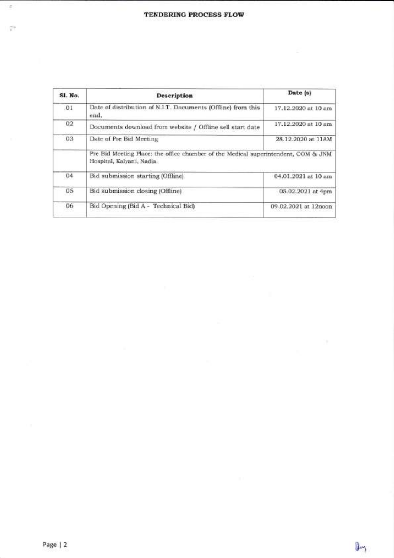| Sl. No. | Description                                                                                                     | Date (s)             |  |
|---------|-----------------------------------------------------------------------------------------------------------------|----------------------|--|
| 01      | Date of distribution of N.I.T. Documents (Offline) from this<br>end.                                            | 17.12.2020 at 10 am  |  |
| 02      | Documents download from website / Offline sell start date                                                       | 17.12.2020 at 10 am  |  |
| 03      | Date of Pre Bid Meeting                                                                                         | 28.12.2020 at 11AM   |  |
|         | Pre Bid Meeting Place: the office chamber of the Medical superintendent, COM & JNM<br>Hospital, Kalvani, Nadia. |                      |  |
| 04      | Bid submission starting (Offline)                                                                               | 04.01.2021 at 10 am  |  |
| 05      | Bid submission closing (Offline)                                                                                | 05.02.2021 at 4pm    |  |
| 06      | Bid Opening (Bid A - Technical Bid)                                                                             | 09.02.2021 at 12noon |  |
|         |                                                                                                                 |                      |  |

I gir

 $\bar{a}$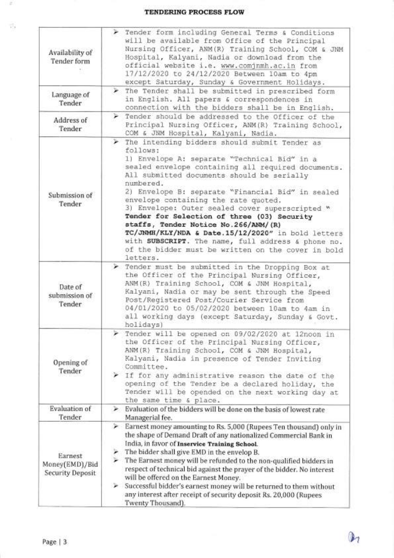### TENDERING PROCESS FLOW

| Availability of<br>Tender form                                                                                                                                                                                                                                                                                                                                                                                                                                                                                                                                                                                                                                          | > Tender form including General Terms & Conditions<br>will be available from Office of the Principal<br>Nursing Officer, ANM(R) Training School, COM & JNM<br>Hospital, Kalyani, Nadia or download from the<br>official website i.e. www.comjnmh.ac.in from<br>17/12/2020 to 24/12/2020 Between 10am to 4pm<br>except Saturday, Sunday & Government Holidays.                                                                                                                                                                                                                                                                                        |  |  |  |
|-------------------------------------------------------------------------------------------------------------------------------------------------------------------------------------------------------------------------------------------------------------------------------------------------------------------------------------------------------------------------------------------------------------------------------------------------------------------------------------------------------------------------------------------------------------------------------------------------------------------------------------------------------------------------|------------------------------------------------------------------------------------------------------------------------------------------------------------------------------------------------------------------------------------------------------------------------------------------------------------------------------------------------------------------------------------------------------------------------------------------------------------------------------------------------------------------------------------------------------------------------------------------------------------------------------------------------------|--|--|--|
| Language of<br>Tender                                                                                                                                                                                                                                                                                                                                                                                                                                                                                                                                                                                                                                                   | The Tender shall be submitted in prescribed form<br>⋗<br>in English. All papers & correspondences in<br>connection with the bidders shall be in English.                                                                                                                                                                                                                                                                                                                                                                                                                                                                                             |  |  |  |
| Address of<br>Tender                                                                                                                                                                                                                                                                                                                                                                                                                                                                                                                                                                                                                                                    | Tender should be addressed to the Officer of the<br>Principal Nursing Officer, ANM(R) Training School,<br>COM & JNM Hospital, Kalyani, Nadia.                                                                                                                                                                                                                                                                                                                                                                                                                                                                                                        |  |  |  |
| Submission of<br>Tender                                                                                                                                                                                                                                                                                                                                                                                                                                                                                                                                                                                                                                                 | The intending bidders should submit Tender as<br>⋗<br>follows:<br>1) Envelope A: separate "Technical Bid" in a<br>sealed envelope containing all required documents.<br>All submitted documents should be serially<br>numbered.<br>2) Envelope B: separate "Financial Bid" in sealed<br>envelope containing the rate quoted.<br>3) Envelope: Outer sealed cover superscripted "<br>Tender for Selection of three (03) Security<br>staffs, Tender Notice No.266/ANM/(R)<br>TC/JNMH/KLY/NDA & Date.15/12/2020" in bold letters<br>with SUBSCRIPT. The name, full address & phone no.<br>of the bidder must be written on the cover in bold<br>letters. |  |  |  |
| Date of<br>submission of<br>Tender                                                                                                                                                                                                                                                                                                                                                                                                                                                                                                                                                                                                                                      | > Tender must be submitted in the Dropping Box at<br>the Officer of the Principal Nursing Officer,<br>ANM(R) Training School, COM & JNM Hospital,<br>Kalyani, Nadia or may be sent through the Speed<br>Post/Registered Post/Courier Service from<br>04/01/2020 to 05/02/2020 between 10am to 4am in<br>all working days (except Saturday, Sunday & Govt.<br>holidays)                                                                                                                                                                                                                                                                               |  |  |  |
| Opening of<br>Tender                                                                                                                                                                                                                                                                                                                                                                                                                                                                                                                                                                                                                                                    | Tender will be opened on 09/02/2020 at 12noon in<br>the Officer of the Principal Nursing Officer,<br>ANM(R) Training School, COM & JNM Hospital,<br>Kalyani, Nadia in presence of Tender Inviting<br>Committee.<br>> If for any administrative reason the date of the<br>opening of the Tender be a declared holiday, the<br>Tender will be opended on the next working day at<br>the same time & place.                                                                                                                                                                                                                                             |  |  |  |
| <b>Evaluation</b> of<br>Tender                                                                                                                                                                                                                                                                                                                                                                                                                                                                                                                                                                                                                                          | Evaluation of the bidders will be done on the basis of lowest rate<br>⋗<br>Managerial fee.                                                                                                                                                                                                                                                                                                                                                                                                                                                                                                                                                           |  |  |  |
| Earnest money amounting to Rs. 5,000 (Rupees Ten thousand) only in<br>⋗<br>the shape of Demand Draft of any nationalized Commercial Bank in<br>India, in favor of Inservice Training School.<br>The bidder shall give EMD in the envelop B.<br>r.<br>Earnest<br>The Earnest money will be refunded to the non-qualified bidders in<br>Money(EMD)/Bid<br>respect of technical bid against the prayer of the bidder. No interest<br><b>Security Deposit</b><br>will be offered on the Earnest Money.<br>Successful bidder's earnest money will be returned to them without<br>⋗<br>any interest after receipt of security deposit Rs. 20,000 (Rupees<br>Twenty Thousand). |                                                                                                                                                                                                                                                                                                                                                                                                                                                                                                                                                                                                                                                      |  |  |  |

ä,

-3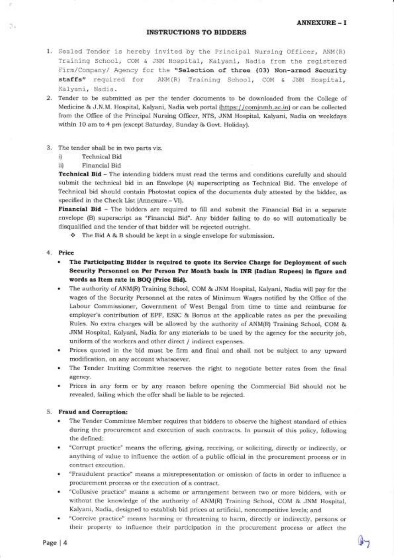#### ANNEXURE - I

A

#### INSTRUCTIONS TO BIDDERS

- 1. Sealed Tender is hereby invited by the Principal Nursing Officer, ANM(R) Training School, COM & JNM Hospital, Kalyani, Nadia from the registered Firm,/Company,/ Agency for the "selection of three (03) Non-armed Security staffs" required for ANM (R) Trainlng School, COM & JNM Hospital, Kalyani, Nadia.
- 2. Tender to be submitted as per the tender documents to be downloaded from the College of Medicine & J.N.M. Hospital, Kalyani, Nadia web portal (https://cominmh.ac.in) or can be collected lrom the Office of the Principal Nursing Officer, NTS, JNM Hospital, Kalyani, Nadia on weekdays within 1O am to 4 pm (except Saturday, Sunday & Govt. Holiday).
- 3. The tender shall be in two parts viz.
	- i) Technical Bid
	- ii) Financial Bid

Technical Bid - The intending bidders must read the terms and conditions carefully and should submit the technical bid in an Envelope (A) superscripting as Technical Bid. The envelope of Technical bid should contain Photostat copies of the documents duly attested by the bidder, as specified in the Check List (Annexure - VI).

Financial Bid - The bidders are required to fill and submit the Financial Bid in a separate envelope (B) superscript as "Financial Bid". Any bidder failing to do so will automatically be disqualified and the tender of that bidder will be rejected outright.

i. The Bid A & B should be kept in a single envelope for submission.

#### 4. Price

- . The Farticipating Bidder is required to quote its Service Charge for Deploymeat of such Security Personnel on Per Person Per Month basis in INR (Indian Rupees) ia figure and words as Item rate in BOQ (Price Bid).
- r The authority of ANM(R) Training School, COM & JNM Hospital, Kalyani, Nadia will pay for the wages of the Security Personnel at the rates of Minimum Wages notified by the Office of the Labour Commissioner, Government of West Bengal from time to time and reimburse for employer's contribution of EPF, ESIC & Bonus at the applicable rates as per the prevailing Rules. No extra charges will be allowed by the authority of ANM(R) Training School, COM & JNM Hospital, Kalyani, Nadia for any materials to be used by the agency for the security job, uniform of the workers and other direct / indirect expenses.
- o Prices quoted in the bid must be lirm and final and shall not be subject to any upward modification, on any account whatsoever.
- . The Tender Inviting Committee reserves the right to negotiate better rates from the final agency.
- o Prices in any form or by any reason before opening the Commercial Bid should not be revealed, failing which the offer shall be liable to be rejected.

#### 5. Fraud and Corruption:

- . The Tender Committee Member requires that bidders to observe the highest standard ol ethics during the procurement and execution of such contracts. In pursuit of this policy, following the defined:
- . "Corrupt practice" means the offering, giving, receiving, or soliciting, directly or indirectly, or anything of value to influence the action of a public official in the procurement process or in contract execution.
- . "Fraudulent practice" means a misrepresentation or omission of facts in order to influence <sup>a</sup> procurement process or the execution of a contract.
- . "Collusive practice" means a scheme or arrangement between two or more bidders, with or without the knowledge of the authority ol ANM(R) Training School, COM & JNM Hospital, Kalyani, Nadia, designed to establish bid prices at artificial, noncompetitive leve1s; and
- . "Coercive practice" means harming or threatening to harm, directly or indirectly, persons or their property to inlluence their participation in the procurement process or affect the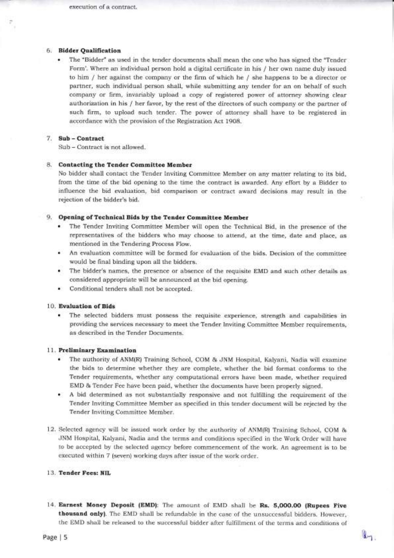#### 6. Bidder Qualification

\* The "Bidder" as used in the tender documents shall mean the one who has signed the "Tender" Form'. Where an individual person hold a digital certificate in his / her own name duly issued to him / her against the company or the firm of which he / she happens to be a director or partner, such individual person shall, while submitting any tender for an on behalf of such company or Iirm, invariably upload a copy of registered power of attorney showing clear authorization in his / her favor, by the rest of the directors of such company or the partner of such firm, to upload such tender. The power of attorney shall have to be registered in accordance with the provision of the Registration Act 1908.

#### 7. Sub - Contract

Sub - Contract is not allowed.

#### 8. Contacting the Tender Committee Member

No bidder shall contact the Tender Inviting Committee Member on any matter relating to its bid, from the time of the bid opening to the time the contract is awarded. Any effort by a Bidder to influence the bid evaluation, bid comparison or contract award decisions may result in the rejection of the bidder's bid.

#### 9. Opening of Technical Bids by the Tender Committee Member

- o The Tender Inviting Committee Member will open the Technical Bid, in the presence of the representatives of the bidders who may choose to attend, at the time, date and place, as mentioned in the Tendering Process Flow.
- o An evaluation committee will be formed for evaluation of the bids. Decision of the committee would be final binding upon all the bidders.
- r The bidder's names, the presence or absence of the requisite EMD and such other details as considered appropriate will be announced at the bid opening.
- . Conditional tenders sha11 not be accepted.

#### 1O. Evaluation of Bids

o The selected bidders must possess the requisite experience, strength and capabilities in providing the services necessary to meet the Tender Inviting Committee Member requirements, as described in the Tender Documents.

#### 11. Preliminary Examination

- The authority of ANM(R) Training School, COM & JNM Hospital, Kalyani, Nadia will examine the bids to determine whether they are complete, whether the bid format conforms to the Tender requirements, whether any computational errors have been made, whether required EMD & Tender Fee have been paid, whether the documents have been properly signed.
- o A bid determined as not substantially responsive and not ful{illing the requirement of the Tender Inviting Committee Member as specified in this tender document will be rejected by the Tender Inviting Committee Member.
- 12. Selected agency will be issued work order by the authority of ANM(R) Training School, COM & JNM Hospital, Kalyani, Nadia and the terms and conditions specified in the Work Order will have to be accepted by the selected agency before commencement of the work. An agreement is to be executed within 7 (seven) working days after issue of the work order.

#### 13. Tender Fees: NIL

14. Earnest Money Deposit (EMD): The amount of EMD shal1 be Rs. 5,OOO.OO (Rupees Five thousand only). The EMD shall be refundable in the case of the unsuccessful bidders. However, the EMD shall be released to the successful bidder after fulfillment of the terms and conditions of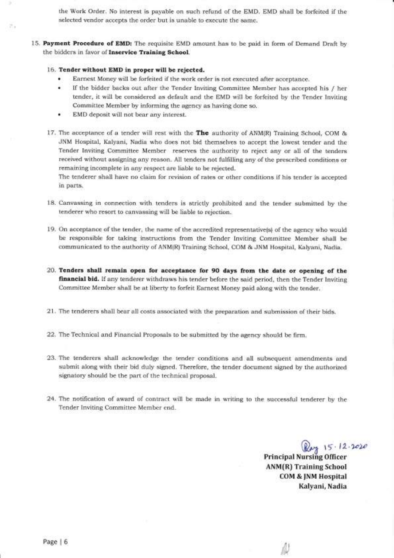the Work Order. No interest is payable on such refund of the EMD. EMD shall be forfeited if the selected vendor accepts the order but is unable to execute the same.

15. Payment Procedure of EMD: The requisite EMD amount has to be paid in form of Demand Draft by the bidders in favor of Inservice Training School.

#### 16. Tender without EMD in proper will be rejected.

- Earnest Money will be forfeited if the work order is not executed after acceptance.
- If the bidder backs out after the Tender Inviting Committee Member has accepted his / her tender, it will be considered as default and the EMD will be forfeited by the Tender Inviting Committee Member by informing the agency as having done so.
- o EMD deposit will not bear any interest.
- 17. The acceptance of a tender will rest with the The authority of ANM(R) Training School, COM & JNM Hospital, Kalyani, Nadia who does not bid themselves to accept the lowest tender and the Tender Inviting Committee Member reserves the authority to reject any or all of the tenders received without assigning any reason. All tenders not fulfilling any of the prescribed conditions or remaining incomplete in any respect are liable to be rejected.

The tenderer shall have no claim for revision of rates or other conditions if his tender is accepted in parts.

- 18. Canvassing in connection with tenders is strictly prohibited and the tender submitted by the tenderer who resort to canvassing will be liable to rejection.
- 19. On acceptance of the tender, the name of the accredited representative(s) of the agency who would be responsible for taking instructions from the Tender Inviting Committee Member shall be communicated to the authority of ANM(R) Training School, COM & JNM Hospital, Kalyani, Nadia.
- 20. Tenders shall remain open for acceptance for 9O days from the date or opening of the financial bid. If any tenderer withdraws his tender before the said period, then the Tender Inviting Committee Member shal1 be at liberty to forfeit Earnest Money paid along with the tender.
- 21. The tenderers shall bear all costs associated with the preparation and submission of their bids
- 22. The Technical and Financial Proposals to be submitted by the agency should be firm.
- 23. The tenderers shall acknowledge the tender conditions and all subsequent amendments and submit along with their bid duly signed. Therefore, the tender document signed by the authorized signatory should be the part of the technical proposal.
- 24. The notification of award of contract will be made in writing to the successful tenderer by the Tender Inviting Committee Member end.

Reg 15.12.2020

Principal Nursing Officer ANM(R) Training School COM & JNM Hospital Kalyani, Nadia

> ,,: <sup>I</sup> 1i)!1

Page | 6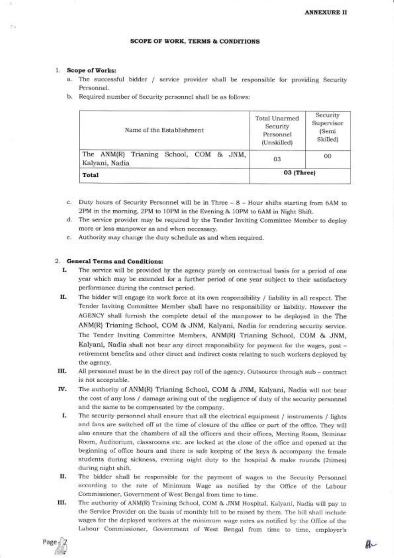### scoPE oF woRK, TERMS & CONDITIONS

#### 1. Scope ofWorks;

 $\sim$ 

- a. The successful bidder / service provider shall be responsible for providing Security Personnel.
- b. Required number of Security personnel shall be as follows:

| Name of the Establishment                                            | Total Unarmed<br>Security<br>Personnel<br>(Unskilled) | Security<br>Supervisor<br>(Semi<br>Skilled) |
|----------------------------------------------------------------------|-------------------------------------------------------|---------------------------------------------|
| ANM(R) Trianing<br>The<br>School,<br>COM<br>& JNM,<br>Kalyani, Nadia | 03                                                    | $^{00}$                                     |
| Total                                                                | $03$ (Three)                                          |                                             |

- c. Duty hours of Security Personnel will be in Three 8 Hour shifts starting from 6AM to 2PM in the morning, 2PM to 1OPM in the Evening & 10PM to 6AM in Night Shift.
- d. The service provider may be required by the Tender Inviting Committee Member to deploy more or less manpower as and when necessary.
- e. Authority may change the duty schedule as and when required.

### 2. General Terms and Conditions:

- I. The service will be provided by the agency purely on contractual basis for a period of one year which may be extended for a further period of one year subject to their satisfactory performance during the contract period.
- II. The bidder will engage its work force at its own responsibility / liability in all respect. The Tender Inviting Committee Member shall have no responsibility or liabiiity. However the AGENCY shall furnish the compiete detail of the manpower to be deployed in the The ANM(R) Trianing School, COM & JNM, Kalyani, Nadia for rendering security service. The Tender Inviting Committee Members, ANM(R) Trianing School, COM & JNM, Kalyani, Nadia shall not bear any direct responsibility for payment for the wages, post retirement benefits and other direct and indirect costs relating to such workers deployed by the agency.
- III. All personnel must be in the direct pay roll of the agency. Outsource through sub contract is not acceptable.
- Iv. The authority of ANM(R) Trianing School, COM & JNM, Kalyani, Nadia will not bear the cost of any loss / damage arising out of the negligence of duty of the security personnel and the same to be compensated by the company.
- I. The security personnel shall ensure that all the electrical equipment / instruments / lights and fans are switched off at the time of closure of the office or part of the office. They will also ensure that the chambers of all the officers and their offices, Meeting Room, Seminar Room, Auditorium, classrooms etc. are locked at the close of the office and opened at the beginning of office hours and there is safe keeping of the keys & accompany the female students during sickness, evening night duty to the hospital & make rounds (2times) during night shift.
- II. The bidder shall be responsible for the payment of wages to the Security Personnel according to the rate of Minimum Wage as notified by the Office of the Labour Commissioner, Government of West Bengal from time to time.
- III. The authority of ANM(R) Training School, COM & JNM Hospital, Kalyani, Nadia will pay to the Service Provider on the basis of monthly bill to be raised by them. The bill shall include wages for the deployed workers at the minimum wage rates as notified by the Office of the Labour Commissioner, Government of West Bengal from time to time, employer's

Page ,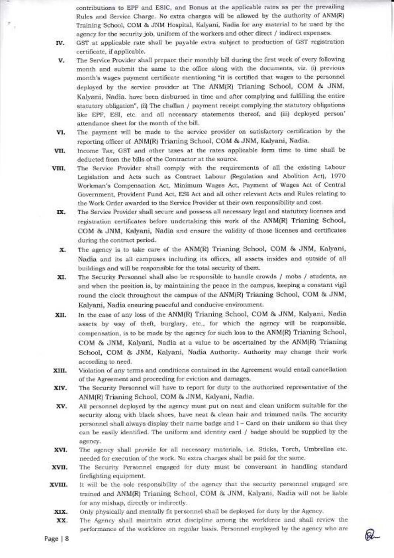contributions to EPF and ESIC, and Bonus at the applicable rates as per the prevailing Ruies and Service Charge. No extra charges will be allowed by the authority of ANM(R) Training School, COM & JNM Hospital, Kalyani, Nadia for any material to be used by the agency for the security job, uniform of the workers and other direct / indirect expenses.

T

GST at applicable rate sha1l be payable extra subject to production of GST registration certificate, if applicable. IV

- The Service Provider shall prepare their monthly bill during the lirst week of every following month and submit the same to the office along with the documents, viz. (i) previous month's wages payment certificate mentioning "it is certified that wages to the personnel deployed by the service provider at The ANM(R) Trianing School, COM & JNM, Kalyani, Nadia. have been disbursed in time and after complying and fulfilling the entire statutory obligation", (ii) The challan / payment receipt complying the statutory obligations like EPF, ESI, etc. and all necessary statements thereof, and (iii) deployed person' attendance sheet for the month of the bil1. v.
- The payment will be made to the service provider on satisfactory certification by the reporting officer of ANM(R) Trianing School, COM & JNM, Kalyani, Nadia. vI.
- Income Tax, GST and other taxes at the rates applicable form time to time shall be deducted from the bills of the Contractor at the source. VII.
- The Service Provider sha1l comply with the requirements of all the existing Labour Legislation and Acts such as Contract Labour (Regulation and Abolition Act), I97O Workman's Compensation Act, Minimum Wages Act, Payment of Wages Act of Central Government, Provident Fund Act, ESI Act and all other relevant Acts and Rules relating to the Work Order awarded to the Service Provider at their own responsibility and cost. VIII.
	- The Service Provider shall secure and possess all necessary legal and statutory licenses and registration certificates before undertaking this work of the ANM(R) Trianing School, COM & JNM, Kalyani, Nadia and ensure the validity of those licenses and certificates during the contract period. IX.
	- The agency is to take care of the ANM(R) Trianing School, COM & JNM, Kalyani, Nadia and its all campuses including its offices, all assets insides and outside of all buildings and will be responsible for the total security of them. x.
- The Security Personnel shall also be responsible to handle crowds / mobs / students, as and when the position is, by maintaining the peace in the campus, keeping a constant vigil round the clock throughout the campus of the ANM(R) Trianing School, COM & JNM, Kalyani, Nadia ensuring peaceful and conducive environment. xI.
- In the case of any loss of the ANM(R) Trianing School, COM & JNM, Kalyani, Nadia assets by way of theft, burglary, etc., for which the agency will be responsible, compensation, is to be made by the agency for such loss to the ANM(R) Trianing School, COM & JNM, Kalyani, Nadia at a value to be ascertained by the ANM(R) Trianing School, COM & JNM, Kalyani, Nadia Authority. Authority may change their work according to need. xu.
- Violation of any terms and conditions contained in the Agreement would entail cancellation of the Agreement and proceeding for eviction and damages. XIII.
- The Security Personnel will have to report for duty to the authorized representative of the ANM(R) Trianing School, COM & JNM, Kalyani, Nadia. xlv.
- A11 personnel deployed by the agency must put on neat and clean uniform suitable for the security along with black shoes, have neat & clean hair and trimmed nails. The security personnel shall always display their name badge and I - Card on their uniform so that they can be easily identified. The uniform and identity card I badge should be supplied by the agency. xv
- The agency sha11 provide for all necessary materials, i.e. Sticks, Torch, Umbrellas etc. needed for execution of the work. No extra charges sha11 be paid for the same. xvl.
- The Security Personnel engaged for duty must be conversant in handling standard firefighting equipment. XVII
- It will be the sole responsibility of the agency that the security personnel engaged are trained and ANM(R) Trianing School, COM & JNM, Kalyani, Nadia will not be liab1e for any mishap, directly or indirectly. xvlll.
	- Only physically and mentally fit personnel sha11 be deployed for duty by the Agency. xlx.
	- The Agency shall maintain strict discipline among the workforce and shall review the perlormance of the workforce on reguiar basis. Personnel employed by the agency who are xx.

C.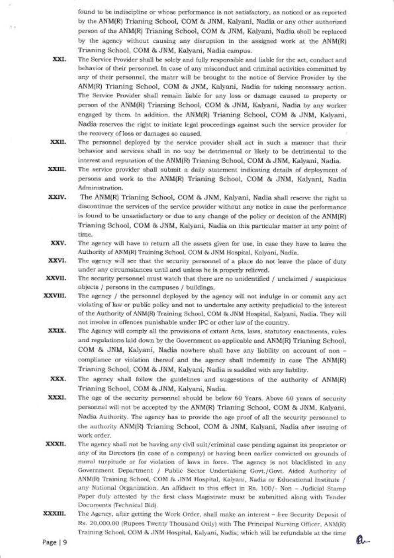found to be indiscipline or whose performance is not satisfactory, as noticed or as reported by the ANM(R) Trianing School, COM & JNM, Kalyani, Nadia or any other authorized person of the ANM(R) Trianing School, COM & JNM, Kalyani, Nadia shall be replaced by the agency without causing any disruption in the assigned work at the ANM(R) Trianing School, COM & JNM, Kalyani, Nadia campus.

- The Service Provider shall be solely and fully responsible and liable for the act, conduct and behavior of their personnel. In case of any misconduct and criminal activities committed by any of their personnel, the mater will be brought to the notice of Service Provider by the ANM(R) Trianing School, COM & JNM, Kalyani, Nadia for taking necessary action. The Service Provider shall remain liable for any loss or damage caused to property or person of the ANM(R) Trianing School, COM & JNM, Kalyani, Nadia by any worker engaged by them. In addition, the ANM(R) Trianing School, COM & JNM, Kalyani, Nadia reserves the right to initiate legal proceedings against such the seryice provider for the recovery of loss or damages so caused. xxl.
- The personnel deployed by the service provider shall act in such a manner that their behavior and services shall in no way be detrimental or likely to be detrimental to the interest and reputation of the ANM(R) Trianing School, COM & JNM, Kalyani, Nadia. XXII.
- The service provider shall submit a daily statement indicating details of deployment of persons and work to the ANM(R) Trianing School, COM & JNM, Kalyani, Nadia Administration. xxlu.
- The ANM(R) Trianing School, COM & JNM, Katyani, Nadia shall reserve the right to discontinue the services of the service provider without any notice in case the performance is found to be unsatisfactory or due to any change of the policy or decision of the ANM(R) Trianing School, COM & JNM, Kalyani, Nadia on this particular matter at any point of time. xxIv.
- The agency will have to return atl the assets given for use, in case they have to leave the Authority of ANM(R) Training School, COM & JNM Hospital, Kalyani, Nadia. xxv-
- The agency will see that the security personnel of a place do not leave the place of duty under any circumstances until and unless he is properly relieved. xxvr.
- The security personnel must watch that there are no unidentified  $/$  unclaimed  $/$  suspicious objects / persons in the campuses / buildings. xxvII.
- The agency / the personnel deployed by the agency will not indulge in or commit any act violating of law or public policy and not to undertake any activity prejudicial to the interest of the Authority of ANM(R) Training School, COM & JNM Hospital, Kalyani, Nadia. They will not involve in offences punishable under IPC or other law of the country. xxvIII.
	- The Agency will comply all the provisions of extant Acts, laws, statutory enactments, rules and regulations laid down by the Government as applicable and ANM(R) Trianing School, COM & JNM; Kalyani, Nadia nowhere shall have any liability on account of non compliance or violation thereof and the agency shall indemnify in case The ANM(R) Trianing School, COM & JNM, Kalyani, Nadia is saddled with any liability. xxlx.
	- The agency shall follow the guidelines and suggestions of the authority of ANM(R) Trianing School, COM & JNM, Kalyani, Nadia. xxx.
	- The age of the security personnel should be below 60 Years. Above 60 years of security personnel will not be accepted by the ANM(R) Trianing School, COM & JNM, Kalyani, Nadia Authority. The agency has to provide the age proof of all the security personnel to the authority ANM(R) Trianing School, COM & JNM, Kalyani, Nadia after issuing of work order. xxx1.
- The agency shall not be having any civil suit/criminal case pending against its proprietor or any of its Directors (in case of a company) or having been earlier convicted on grounds of moral turpitude or for violation of laws in force. The agency is not blacklisted in any Government Department / Public Sector Undertaking Govt./Govt. Aided Authority of ANM(R) Training School, COM & JNM Hospital, Kalyani, Nadia or Educational Institute / any National Organization. An affidavit to this effect in Rs. 100/- Non - Judicial Stamp Paper duly attested by the first class Magistrate must be submitted along with Tender Documents (Technical Bid). xxxll.
- The Agency, after getting the Work Order, shali make an interest free Security Deposit of Rs. 20,000.00 (Rupees Twenty Thousand Only) with The Principal Nursing Officer, ANM(R) Training School, COM & JNM Hospital, Kalyani, Nadia; which will be refundable at the time XXXIII.

:,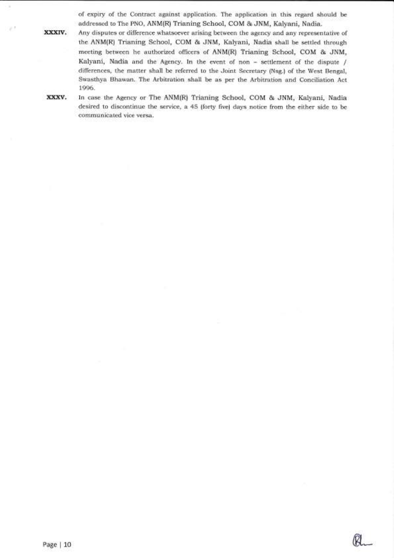of expiry of the Contract against application. The application in this regard should be addressed to The PNO, ANM(R) Trianing School, COM & JNM, Kalyani, Nadia.

Any disputes or difference whatsoever arising between the agency and any representative of the ANM(R) Trianing School, COM & JNM, Kalyani, Nadia shall be settled through meeting between he authorized officers of ANM(R) Trianing School, COM & JNM, Kalyani, Nadia and the Agency. In the event of non - settlement of the dispute / differences, the matter shall be referred to the Joint Secretary (Nsg.) of the West Bengal, Swasthya Bhawan. The Arbitration shall be as per the Arbitration and Conciliation Act 1996.

xxxv

xxxiv.

**SE** 

In case the Agency or The ANM(R) Trianing School, COM & JNM, Kalyani, Nadia desired to discontinue the service, a 45 (forty five) days notice from the either side to be communicated vice versa.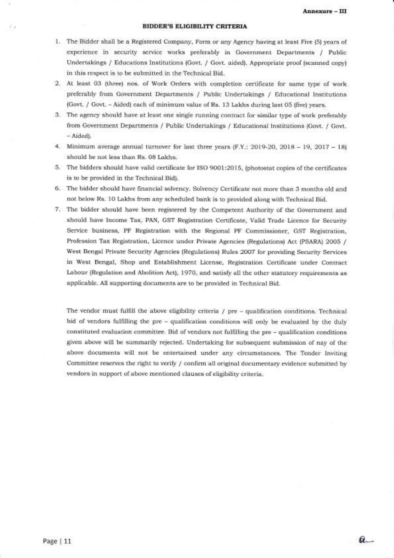#### BIDDER'S ELIGIBILITY CRITERIA

- 1. The Bidder shall be a Registered Company, Form or any Agency having at least Five (5) years of experience in security service works preferably in Government Departrnents / Public Undertakings / Educations Institutions (Govt. / Govt. aided). Appropriate proof (scanned copy) in this respect is to be submitted in the Technical Bid.
- 2. At least 03 (three) nos. of Work Orders with completion certificate for same type of work preferably from Government Departments / Public Undertakings / Educational Institutions (Govt. / Govt. - Aided) each of minimum value of Rs. 13 Lakhs during last 05 (five) years.
- 3. The agency should have at least one single running contract for similar type of work preferably from Government Departments / Public Undertakings / Educational Institutions (Govt. / Govt. - Aided).
- 4. Minimum average annual turnover for last three years  $(F.Y.: 2019-20, 2018 19, 2017 18)$ should be not less than Rs. 08 Lakhs.
- 5. The bidders should have valid certificate for ISO 9001:2O15, (photostat copies of the certificates is to be provided in the Technical Bid).
- 6. The bidder should have financial solvency. Solvency Certificate not more than 3 months old and not below Rs. 1O Lakhs from any scheduled bank is to provided along with Technical Bid.
- 7. The bidder should have been registered by the Competent Authority of the Government and should have Income Tax, PAN, GST Registration Certificate, Valid Trade Licence for Security Service business, PF Registration with the Regional PF Commissioner, GST Registration, Profession Tax Registration, Licence under Private Agencies (Regulations) Act (PSARA) 2OOS I West Bengal Private Security Agencies (Regulations) Rules 2OO7 for providing Security Services in West Bengal, Shop and Establishment License, Registration Certilicate under Contract Labour (Regulation and Abolition Act), 197O, and satisfy all the other statutory requirements as applicable. All supporting documents are to be provided in Technical Bid.

The vendor must fulfill the above eligibility criteria / pre - qualification conditions. Technical bid of vendors fulfilling the pre - qualification conditions will only be evaluated by the duly constituted evaluation committee. Bid of vendors not fulfilling the pre - qualification conditions given above will be summarily rejected. Undertaking for subsequent submission of nay of the above documents will not be entertained under any circumstances. The Tender Inviting Committee reserves the right to verify / confirm all original documentary evidence submitted by vendors in support of above mentioned clauses of eligibility criteria.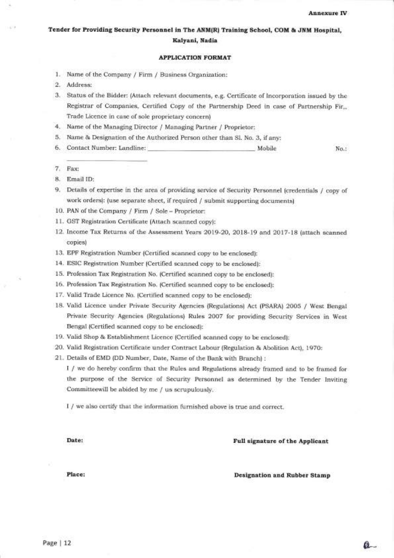### Tender for Providing Security Personnel in The ANM(R) Training School, COM & JNM Hospital, Kalyani, Nadia

#### APPLICATION FORMAT

- 1. Name of the Company / Firm / Business Organization
- Address: 2
- Status of the Bidder: (Attach relevant documents, e.g. Certificate of Incorporation issued by the J Registrar of Companies, Certified Copy of the Partnership Deed in case of Partnership Fir,, Trade Licence in case of sole proprietary concern)
- 4. Name of the Managing Director / Managing Partner / Proprietor
- 5. Name & Designation of the Authorized Person other than Sl. No. 3, if any:
- Contact Number: Landline: Mobile No.: 6.

7. Fax:

8. Email ID:

9. Details of expertise in the area of providing service of Security Personnel (credentials / copy of work orders): (use separate sheet, if required / submit supporting documents)

- 10. PAN of the Company / Firm / Sole Proprietor:
- 11. GST Registration Certificate (Attach scanned copy):
- 12. Income Tax Returns of the Assessment Years 2019-20, 2Ol8-19 and 2Ol7-IB (attach scanned copies)
- 13. EPF Registration Number (Certified scanned copy to be enclosed):
- 14. ESIC Registration Number (Certified scanned copy to be enclosed):
- 15. Profession Tax Registration No. (Certified scanned copy to be enclosed):
- 16. Profession Tax Registration No. (Certified scanned copy to be enclosed):
- 17. Valid Trade Licence No. (Certified scanned copy to be enclosed):
- 18. Valid Licence under Private Security Agencies (Regulations) Act (PSARA) 2005 / West Bengal Private Security Agencies (Regulations) Rules 2007 for providing Security Services in West Bengal (Certified scanned copy to be enclosed):
- 19. Valid Shop & Establishment Licence (Certified scanned copy to be enclosed):
- 20. Valid Registration Certificate under Contract Labour (Regulation & Abolition Act), 1970:

21. Details of EMD (DD Number, Date, Name of the Bank with Branch) :

I / we do hereby confirm that the Rules and Regulations already framed and to be framed for the purpose of the Service of Security Personnel as determined by the Tender Inviting Committeewill be abided by me / us scrupulously.

I / we also certify that the information furnished above is true and corect.

### Date: Full signature of the Applicant

Place:

Designation and Rubber Stamp

 $a$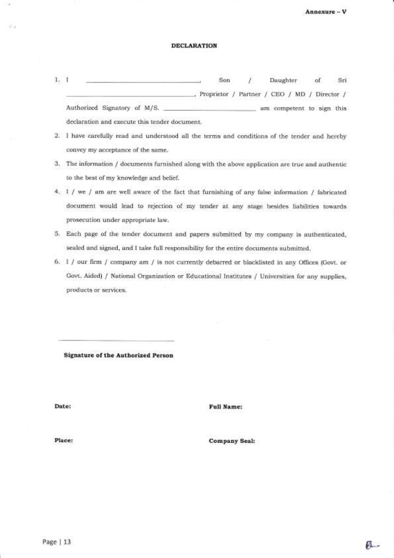Annexure - V

#### DECLARATION

- 1. <sup>I</sup> Son / Daughter of Sri Proprietor / Partner / CEO / MD / Director / Authorized Signatory of M/S. am competent to sign this declaration and execute this tender document.
- 2. I have carefully read and understood all the terms and conditions of the tender and hereby convey my acceptance of the same.
- 3. The information / documents lurnished along with the above application are true and authentic to the best of my knowiedge and belief.
- 4. 1 / we / am are well aware of the fact that furnishing of any false information / fabricated document would lead to rejection of my tender at any stage besides liabilities towards prosecution under appropriate law.
- 5. Each page of the tender document and papers submitted by my company is authenticated, sealed and signed, and I take full responsibility for the entire documents submitted.
- 6. I / our firrn / company am / is not currently debarred or blacklisted in any Offices (Govt. or Govt. Aided) / National Organization or Educational Institutes / Universities for any supplies, products or services.

Signature of the Authorized Person

Date: Full Name:

Place: Company Seal: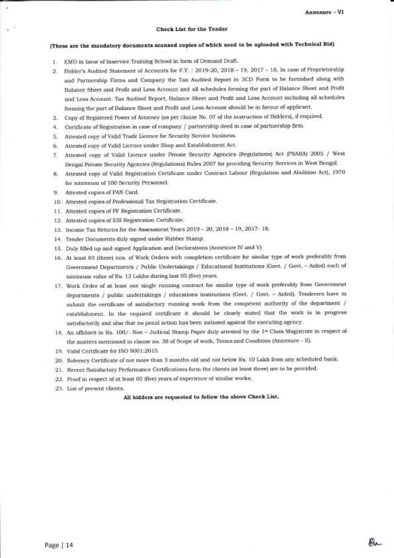#### Check List for the Tender

### (These are the mandatory documents scanned copies of which need to be uploaded with Technical Bid)

- 1. EMD in favor of Inservice Training School in form of Demand Draft.
- 2. Bidder's Audited Statement of Accounts for F.Y. : 2019-20, 2018 19, 2017 18. In case of Proprietorship and Partnership Firms and Company the Tax Audited Report in 3CD Form to be furnished along with Balance Sheet and Profit and Loss Account and all schedules forming the part of Balance Sheet and Profit and Loss Account. Tax Audited Report, Balance Sheet and Profit and Loss Account including all schedules forming the part of Balance Sheet and Profit and Loss Account should be in favour of applicant.
- 3. Copy of Registered Power of Attorney (as per clause No. 07 of the instruction of Bidders), if required.
- 1. Certificate of Registration in case of company / partnership deed in case of partnership firm.
- 5. Attested copy of Valid Trade Licence for Security Service business.
- 6. Attested copy of Valid Licence under Shop and Establishment Act.
- 7. Attested copy of Valid Licence under Private Security Agencies (Regulations) Act (PSARA) 2005 / West Bengal Private Security Agencies (Regulations) Rules 2007 for providing Security Services in West Bengal.
- B. Attested copy of Valid Registration Certificate under Contract Labour (Regulation and Abolition Act), <sup>1970</sup> for minimum of 100 Security Personnel.
- 9. Attested copies of PAN Card.

I

- 10. Attested copies of Professional Tax Registration Certificate.
- <sup>1</sup>1 . Attested copies of PF Registration Certificate.
- 12. Attested copies of ESI Registration Certificate.
- <sup>1</sup>3. Income Tax Returns for the Assessment Years 2Ol9 20 , 2Ol8 <sup>19</sup>' 2Ol7 18.
- 14. Tender Documents duly signed under Rubber Stamp.
- 15. Duly filled up and signed Application and Declarations (Annexure IV and V)
- 16. At least O3 (three) nos. of Work Orders with completion certilicate for similar type of work preferably from Government Departments / Public Undertakings / Educational Institutions (Govt. / Govt. - Aided) each of minimum value of Rs. 13 Lakhs during last 05 (five) years.
- 17. Work Order of at least one single running contract for similar type of work preferably from Government departments / public undertakings / educations institutions (Govt. / Govt. - Aided). Tenderers have to submit the certificate of satisfactory running work from the competent authority of the department / establishment. In the required certificate it should be ciearly stated that the work is in progress satisfactorily and also that no penal action has been initiated against the executing agency.
- 18. An affidavit in Rs. 100/- Non Judicial Stamp Paper duly attested by the 1<sup>st</sup> Class Magistrate in respect of the matters mentioned in clause no. 38 of Scope of work, Terms and Condition (Annexure - II).
- 19. Valid Certificate for ISO 9001:2015.
- 20. Solvency Certificate of not more than 3 months old and not below Rs. 10 Lakh from any scheduled bank.
- 21. Recent Satisfactory Performance Certificatjons form the clients (at least three) are to be provided.
- 22. Proof tn respect of at least 05 (frve) years of experience of similar works.
- 23. List of present clients.

All bidders are requested to follow the above Check List.